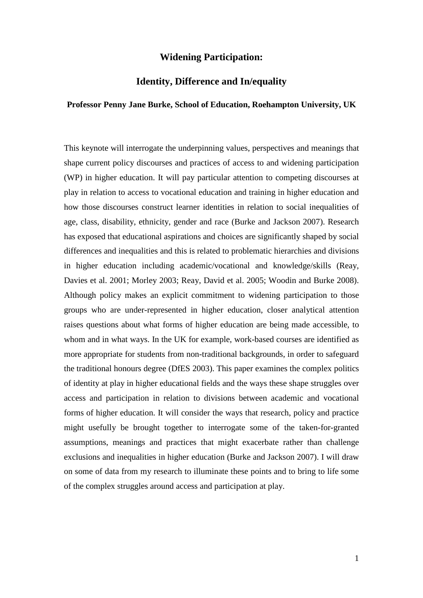# **Widening Participation:**

# **Identity, Difference and In/equality**

## **Professor Penny Jane Burke, School of Education, Roehampton University, UK**

This keynote will interrogate the underpinning values, perspectives and meanings that shape current policy discourses and practices of access to and widening participation (WP) in higher education. It will pay particular attention to competing discourses at play in relation to access to vocational education and training in higher education and how those discourses construct learner identities in relation to social inequalities of age, class, disability, ethnicity, gender and race (Burke and Jackson 2007). Research has exposed that educational aspirations and choices are significantly shaped by social differences and inequalities and this is related to problematic hierarchies and divisions in higher education including academic/vocational and knowledge/skills (Reay, Davies et al. 2001; Morley 2003; Reay, David et al. 2005; Woodin and Burke 2008). Although policy makes an explicit commitment to widening participation to those groups who are under-represented in higher education, closer analytical attention raises questions about what forms of higher education are being made accessible, to whom and in what ways. In the UK for example, work-based courses are identified as more appropriate for students from non-traditional backgrounds, in order to safeguard the traditional honours degree (DfES 2003). This paper examines the complex politics of identity at play in higher educational fields and the ways these shape struggles over access and participation in relation to divisions between academic and vocational forms of higher education. It will consider the ways that research, policy and practice might usefully be brought together to interrogate some of the taken-for-granted assumptions, meanings and practices that might exacerbate rather than challenge exclusions and inequalities in higher education (Burke and Jackson 2007). I will draw on some of data from my research to illuminate these points and to bring to life some of the complex struggles around access and participation at play.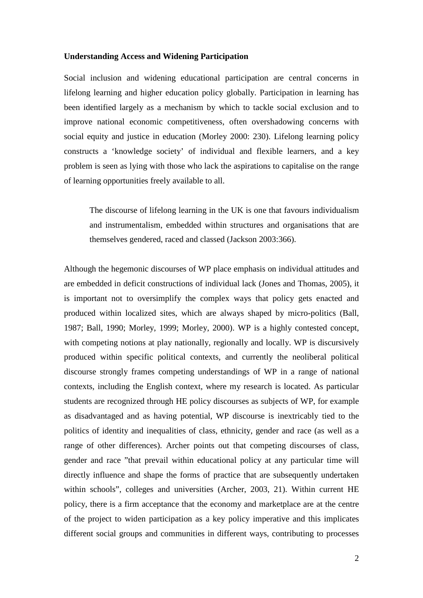#### **Understanding Access and Widening Participation**

Social inclusion and widening educational participation are central concerns in lifelong learning and higher education policy globally. Participation in learning has been identified largely as a mechanism by which to tackle social exclusion and to improve national economic competitiveness, often overshadowing concerns with social equity and justice in education (Morley 2000: 230). Lifelong learning policy constructs a 'knowledge society' of individual and flexible learners, and a key problem is seen as lying with those who lack the aspirations to capitalise on the range of learning opportunities freely available to all.

The discourse of lifelong learning in the UK is one that favours individualism and instrumentalism, embedded within structures and organisations that are themselves gendered, raced and classed (Jackson 2003:366).

Although the hegemonic discourses of WP place emphasis on individual attitudes and are embedded in deficit constructions of individual lack (Jones and Thomas, 2005), it is important not to oversimplify the complex ways that policy gets enacted and produced within localized sites, which are always shaped by micro-politics (Ball, 1987; Ball, 1990; Morley, 1999; Morley, 2000). WP is a highly contested concept, with competing notions at play nationally, regionally and locally. WP is discursively produced within specific political contexts, and currently the neoliberal political discourse strongly frames competing understandings of WP in a range of national contexts, including the English context, where my research is located. As particular students are recognized through HE policy discourses as subjects of WP, for example as disadvantaged and as having potential, WP discourse is inextricably tied to the politics of identity and inequalities of class, ethnicity, gender and race (as well as a range of other differences). Archer points out that competing discourses of class, gender and race "that prevail within educational policy at any particular time will directly influence and shape the forms of practice that are subsequently undertaken within schools", colleges and universities (Archer, 2003, 21). Within current HE policy, there is a firm acceptance that the economy and marketplace are at the centre of the project to widen participation as a key policy imperative and this implicates different social groups and communities in different ways, contributing to processes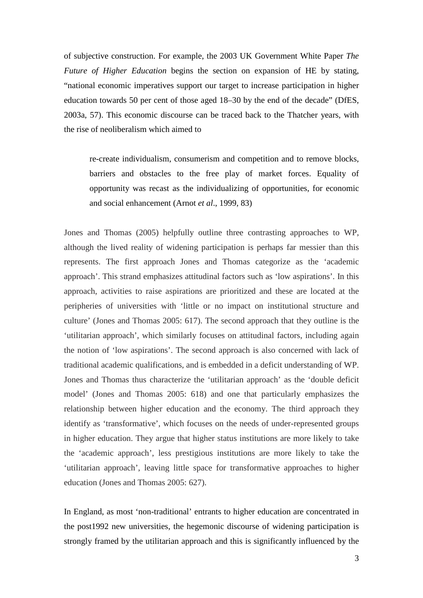of subjective construction. For example, the 2003 UK Government White Paper *The Future of Higher Education* begins the section on expansion of HE by stating, "national economic imperatives support our target to increase participation in higher education towards 50 per cent of those aged 18–30 by the end of the decade" (DfES, 2003a, 57). This economic discourse can be traced back to the Thatcher years, with the rise of neoliberalism which aimed to

re-create individualism, consumerism and competition and to remove blocks, barriers and obstacles to the free play of market forces. Equality of opportunity was recast as the individualizing of opportunities, for economic and social enhancement (Arnot *et al*., 1999, 83)

Jones and Thomas (2005) helpfully outline three contrasting approaches to WP, although the lived reality of widening participation is perhaps far messier than this represents. The first approach Jones and Thomas categorize as the 'academic approach'. This strand emphasizes attitudinal factors such as 'low aspirations'. In this approach, activities to raise aspirations are prioritized and these are located at the peripheries of universities with 'little or no impact on institutional structure and culture' (Jones and Thomas 2005: 617). The second approach that they outline is the 'utilitarian approach', which similarly focuses on attitudinal factors, including again the notion of 'low aspirations'. The second approach is also concerned with lack of traditional academic qualifications, and is embedded in a deficit understanding of WP. Jones and Thomas thus characterize the 'utilitarian approach' as the 'double deficit model' (Jones and Thomas 2005: 618) and one that particularly emphasizes the relationship between higher education and the economy. The third approach they identify as 'transformative', which focuses on the needs of under-represented groups in higher education. They argue that higher status institutions are more likely to take the 'academic approach', less prestigious institutions are more likely to take the 'utilitarian approach', leaving little space for transformative approaches to higher education (Jones and Thomas 2005: 627).

In England, as most 'non-traditional' entrants to higher education are concentrated in the post1992 new universities, the hegemonic discourse of widening participation is strongly framed by the utilitarian approach and this is significantly influenced by the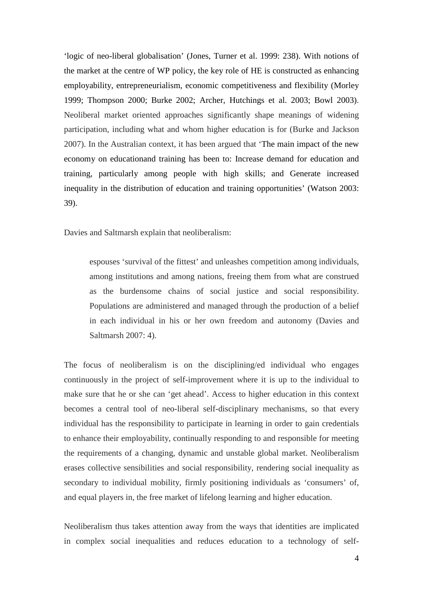'logic of neo-liberal globalisation' (Jones, Turner et al. 1999: 238). With notions of the market at the centre of WP policy, the key role of HE is constructed as enhancing employability, entrepreneurialism, economic competitiveness and flexibility (Morley 1999; Thompson 2000; Burke 2002; Archer, Hutchings et al. 2003; Bowl 2003). Neoliberal market oriented approaches significantly shape meanings of widening participation, including what and whom higher education is for (Burke and Jackson 2007). In the Australian context, it has been argued that 'The main impact of the new economy on educationand training has been to: Increase demand for education and training, particularly among people with high skills; and Generate increased inequality in the distribution of education and training opportunities' (Watson 2003: 39).

Davies and Saltmarsh explain that neoliberalism:

espouses 'survival of the fittest' and unleashes competition among individuals, among institutions and among nations, freeing them from what are construed as the burdensome chains of social justice and social responsibility. Populations are administered and managed through the production of a belief in each individual in his or her own freedom and autonomy (Davies and Saltmarsh 2007: 4).

The focus of neoliberalism is on the disciplining/ed individual who engages continuously in the project of self-improvement where it is up to the individual to make sure that he or she can 'get ahead'. Access to higher education in this context becomes a central tool of neo-liberal self-disciplinary mechanisms, so that every individual has the responsibility to participate in learning in order to gain credentials to enhance their employability, continually responding to and responsible for meeting the requirements of a changing, dynamic and unstable global market. Neoliberalism erases collective sensibilities and social responsibility, rendering social inequality as secondary to individual mobility, firmly positioning individuals as 'consumers' of, and equal players in, the free market of lifelong learning and higher education.

Neoliberalism thus takes attention away from the ways that identities are implicated in complex social inequalities and reduces education to a technology of self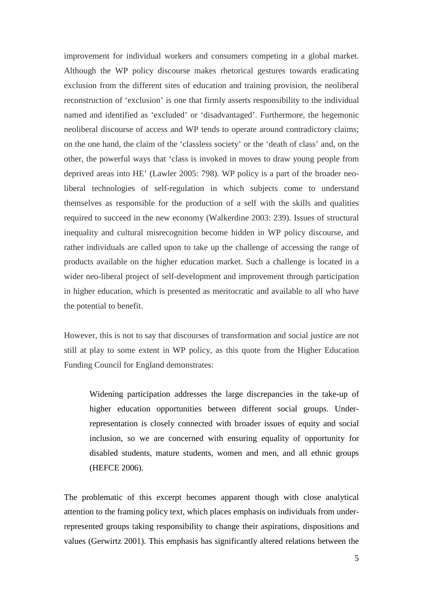improvement for individual workers and consumers competing in a global market. Although the WP policy discourse makes rhetorical gestures towards eradicating exclusion from the different sites of education and training provision, the neoliberal reconstruction of 'exclusion' is one that firmly asserts responsibility to the individual named and identified as 'excluded' or 'disadvantaged'. Furthermore, the hegemonic neoliberal discourse of access and WP tends to operate around contradictory claims; on the one hand, the claim of the 'classless society' or the 'death of class' and, on the other, the powerful ways that 'class is invoked in moves to draw young people from deprived areas into HE' (Lawler 2005: 798). WP policy is a part of the broader neoliberal technologies of self-regulation in which subjects come to understand themselves as responsible for the production of a self with the skills and qualities required to succeed in the new economy (Walkerdine 2003: 239). Issues of structural inequality and cultural misrecognition become hidden in WP policy discourse, and rather individuals are called upon to take up the challenge of accessing the range of products available on the higher education market. Such a challenge is located in a wider neo-liberal project of self-development and improvement through participation in higher education, which is presented as meritocratic and available to all who have the potential to benefit.

However, this is not to say that discourses of transformation and social justice are not still at play to some extent in WP policy, as this quote from the Higher Education Funding Council for England demonstrates:

Widening participation addresses the large discrepancies in the take-up of higher education opportunities between different social groups. Underrepresentation is closely connected with broader issues of equity and social inclusion, so we are concerned with ensuring equality of opportunity for disabled students, mature students, women and men, and all ethnic groups (HEFCE 2006).

The problematic of this excerpt becomes apparent though with close analytical attention to the framing policy text, which places emphasis on individuals from underrepresented groups taking responsibility to change their aspirations, dispositions and values (Gerwirtz 2001). This emphasis has significantly altered relations between the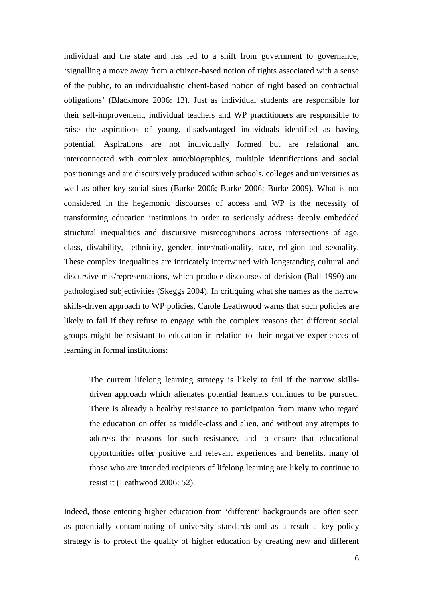individual and the state and has led to a shift from government to governance, 'signalling a move away from a citizen-based notion of rights associated with a sense of the public, to an individualistic client-based notion of right based on contractual obligations' (Blackmore 2006: 13). Just as individual students are responsible for their self-improvement, individual teachers and WP practitioners are responsible to raise the aspirations of young, disadvantaged individuals identified as having potential. Aspirations are not individually formed but are relational and interconnected with complex auto/biographies, multiple identifications and social positionings and are discursively produced within schools, colleges and universities as well as other key social sites (Burke 2006; Burke 2006; Burke 2009). What is not considered in the hegemonic discourses of access and WP is the necessity of transforming education institutions in order to seriously address deeply embedded structural inequalities and discursive misrecognitions across intersections of age, class, dis/ability, ethnicity, gender, inter/nationality, race, religion and sexuality. These complex inequalities are intricately intertwined with longstanding cultural and discursive mis/representations, which produce discourses of derision (Ball 1990) and pathologised subjectivities (Skeggs 2004). In critiquing what she names as the narrow skills-driven approach to WP policies, Carole Leathwood warns that such policies are likely to fail if they refuse to engage with the complex reasons that different social groups might be resistant to education in relation to their negative experiences of learning in formal institutions:

The current lifelong learning strategy is likely to fail if the narrow skillsdriven approach which alienates potential learners continues to be pursued. There is already a healthy resistance to participation from many who regard the education on offer as middle-class and alien, and without any attempts to address the reasons for such resistance, and to ensure that educational opportunities offer positive and relevant experiences and benefits, many of those who are intended recipients of lifelong learning are likely to continue to resist it (Leathwood 2006: 52).

Indeed, those entering higher education from 'different' backgrounds are often seen as potentially contaminating of university standards and as a result a key policy strategy is to protect the quality of higher education by creating new and different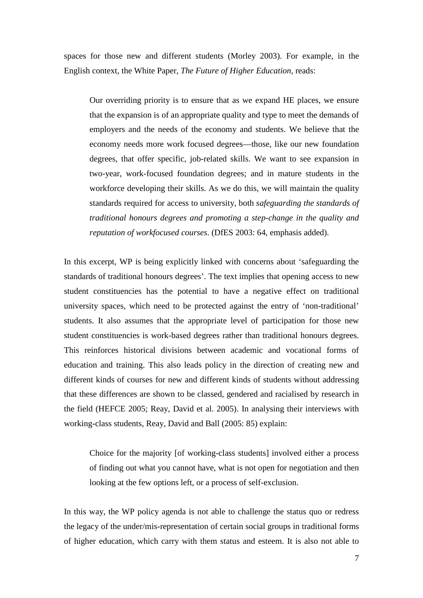spaces for those new and different students (Morley 2003). For example, in the English context, the White Paper, *The Future of Higher Education*, reads:

Our overriding priority is to ensure that as we expand HE places, we ensure that the expansion is of an appropriate quality and type to meet the demands of employers and the needs of the economy and students. We believe that the economy needs more work focused degrees—those, like our new foundation degrees, that offer specific, job-related skills. We want to see expansion in two-year, work-focused foundation degrees; and in mature students in the workforce developing their skills. As we do this, we will maintain the quality standards required for access to university, both *safeguarding the standards of traditional honours degrees and promoting a step-change in the quality and reputation of workfocused courses*. (DfES 2003: 64, emphasis added).

In this excerpt, WP is being explicitly linked with concerns about 'safeguarding the standards of traditional honours degrees'. The text implies that opening access to new student constituencies has the potential to have a negative effect on traditional university spaces, which need to be protected against the entry of 'non-traditional' students. It also assumes that the appropriate level of participation for those new student constituencies is work-based degrees rather than traditional honours degrees. This reinforces historical divisions between academic and vocational forms of education and training. This also leads policy in the direction of creating new and different kinds of courses for new and different kinds of students without addressing that these differences are shown to be classed, gendered and racialised by research in the field (HEFCE 2005; Reay, David et al. 2005). In analysing their interviews with working-class students, Reay, David and Ball (2005: 85) explain:

Choice for the majority [of working-class students] involved either a process of finding out what you cannot have, what is not open for negotiation and then looking at the few options left, or a process of self-exclusion.

In this way, the WP policy agenda is not able to challenge the status quo or redress the legacy of the under/mis-representation of certain social groups in traditional forms of higher education, which carry with them status and esteem. It is also not able to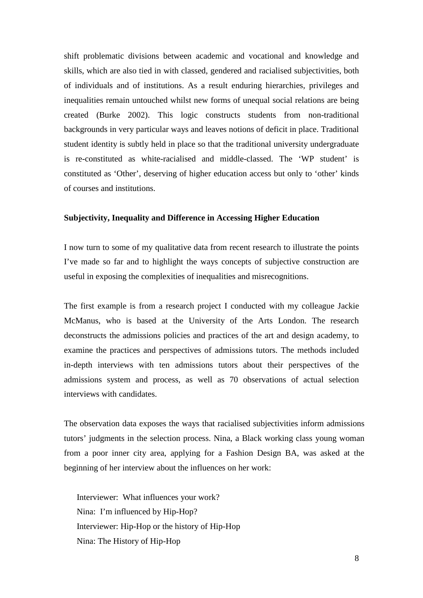shift problematic divisions between academic and vocational and knowledge and skills, which are also tied in with classed, gendered and racialised subjectivities, both of individuals and of institutions. As a result enduring hierarchies, privileges and inequalities remain untouched whilst new forms of unequal social relations are being created (Burke 2002). This logic constructs students from non-traditional backgrounds in very particular ways and leaves notions of deficit in place. Traditional student identity is subtly held in place so that the traditional university undergraduate is re-constituted as white-racialised and middle-classed. The 'WP student' is constituted as 'Other', deserving of higher education access but only to 'other' kinds of courses and institutions.

### **Subjectivity, Inequality and Difference in Accessing Higher Education**

I now turn to some of my qualitative data from recent research to illustrate the points I've made so far and to highlight the ways concepts of subjective construction are useful in exposing the complexities of inequalities and misrecognitions.

The first example is from a research project I conducted with my colleague Jackie McManus, who is based at the University of the Arts London. The research deconstructs the admissions policies and practices of the art and design academy, to examine the practices and perspectives of admissions tutors. The methods included in-depth interviews with ten admissions tutors about their perspectives of the admissions system and process, as well as 70 observations of actual selection interviews with candidates.

The observation data exposes the ways that racialised subjectivities inform admissions tutors' judgments in the selection process. Nina, a Black working class young woman from a poor inner city area, applying for a Fashion Design BA, was asked at the beginning of her interview about the influences on her work:

Interviewer: What influences your work? Nina: I'm influenced by Hip-Hop? Interviewer: Hip-Hop or the history of Hip-Hop Nina: The History of Hip-Hop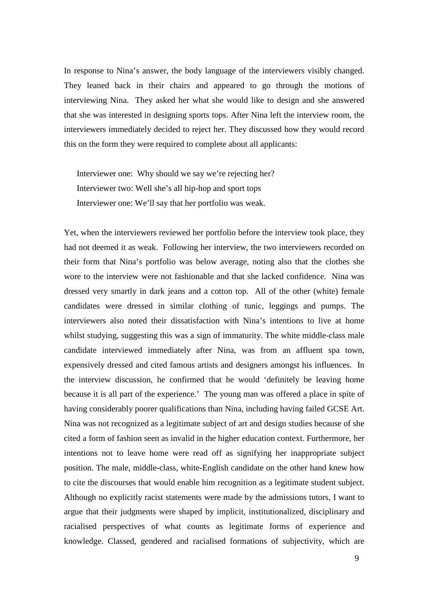In response to Nina's answer, the body language of the interviewers visibly changed. They leaned back in their chairs and appeared to go through the motions of interviewing Nina. They asked her what she would like to design and she answered that she was interested in designing sports tops. After Nina left the interview room, the interviewers immediately decided to reject her. They discussed how they would record this on the form they were required to complete about all applicants:

Interviewer one: Why should we say we're rejecting her? Interviewer two: Well she's all hip-hop and sport tops Interviewer one: We'll say that her portfolio was weak.

Yet, when the interviewers reviewed her portfolio before the interview took place, they had not deemed it as weak. Following her interview, the two interviewers recorded on their form that Nina's portfolio was below average, noting also that the clothes she wore to the interview were not fashionable and that she lacked confidence. Nina was dressed very smartly in dark jeans and a cotton top. All of the other (white) female candidates were dressed in similar clothing of tunic, leggings and pumps. The interviewers also noted their dissatisfaction with Nina's intentions to live at home whilst studying, suggesting this was a sign of immaturity. The white middle-class male candidate interviewed immediately after Nina, was from an affluent spa town, expensively dressed and cited famous artists and designers amongst his influences. In the interview discussion, he confirmed that he would 'definitely be leaving home because it is all part of the experience.' The young man was offered a place in spite of having considerably poorer qualifications than Nina, including having failed GCSE Art. Nina was not recognized as a legitimate subject of art and design studies because of she cited a form of fashion seen as invalid in the higher education context. Furthermore, her intentions not to leave home were read off as signifying her inappropriate subject position. The male, middle-class, white-English candidate on the other hand knew how to cite the discourses that would enable him recognition as a legitimate student subject. Although no explicitly racist statements were made by the admissions tutors, I want to argue that their judgments were shaped by implicit, institutionalized, disciplinary and racialised perspectives of what counts as legitimate forms of experience and knowledge. Classed, gendered and racialised formations of subjectivity, which are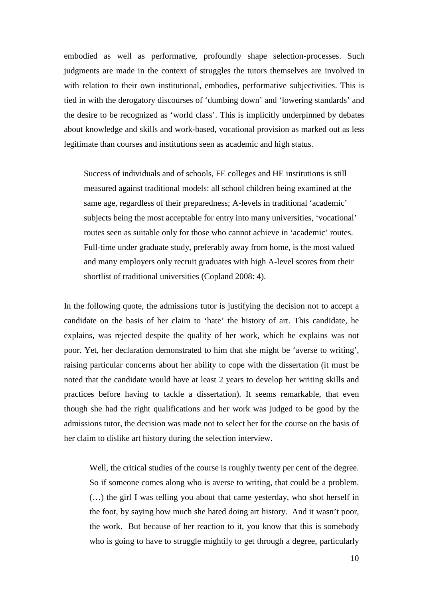embodied as well as performative, profoundly shape selection-processes. Such judgments are made in the context of struggles the tutors themselves are involved in with relation to their own institutional, embodies, performative subjectivities. This is tied in with the derogatory discourses of 'dumbing down' and 'lowering standards' and the desire to be recognized as 'world class'. This is implicitly underpinned by debates about knowledge and skills and work-based, vocational provision as marked out as less legitimate than courses and institutions seen as academic and high status.

Success of individuals and of schools, FE colleges and HE institutions is still measured against traditional models: all school children being examined at the same age, regardless of their preparedness; A-levels in traditional 'academic' subjects being the most acceptable for entry into many universities, 'vocational' routes seen as suitable only for those who cannot achieve in 'academic' routes. Full-time under graduate study, preferably away from home, is the most valued and many employers only recruit graduates with high A-level scores from their shortlist of traditional universities (Copland 2008: 4).

In the following quote, the admissions tutor is justifying the decision not to accept a candidate on the basis of her claim to 'hate' the history of art. This candidate, he explains, was rejected despite the quality of her work, which he explains was not poor. Yet, her declaration demonstrated to him that she might be 'averse to writing', raising particular concerns about her ability to cope with the dissertation (it must be noted that the candidate would have at least 2 years to develop her writing skills and practices before having to tackle a dissertation). It seems remarkable, that even though she had the right qualifications and her work was judged to be good by the admissions tutor, the decision was made not to select her for the course on the basis of her claim to dislike art history during the selection interview.

 Well, the critical studies of the course is roughly twenty per cent of the degree. So if someone comes along who is averse to writing, that could be a problem. (…) the girl I was telling you about that came yesterday, who shot herself in the foot, by saying how much she hated doing art history. And it wasn't poor, the work. But because of her reaction to it, you know that this is somebody who is going to have to struggle mightily to get through a degree, particularly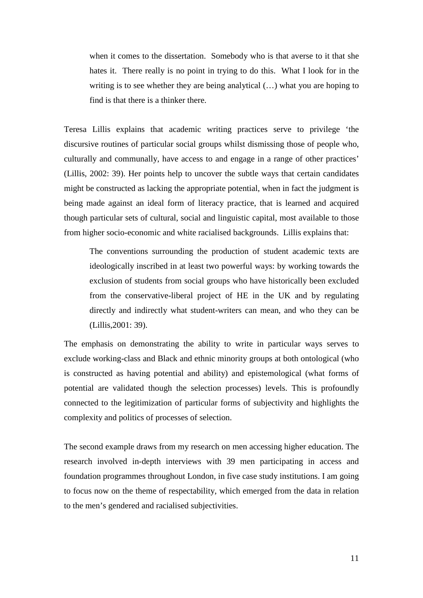when it comes to the dissertation. Somebody who is that averse to it that she hates it. There really is no point in trying to do this. What I look for in the writing is to see whether they are being analytical (…) what you are hoping to find is that there is a thinker there.

Teresa Lillis explains that academic writing practices serve to privilege 'the discursive routines of particular social groups whilst dismissing those of people who, culturally and communally, have access to and engage in a range of other practices' (Lillis, 2002: 39). Her points help to uncover the subtle ways that certain candidates might be constructed as lacking the appropriate potential, when in fact the judgment is being made against an ideal form of literacy practice, that is learned and acquired though particular sets of cultural, social and linguistic capital, most available to those from higher socio-economic and white racialised backgrounds. Lillis explains that:

The conventions surrounding the production of student academic texts are ideologically inscribed in at least two powerful ways: by working towards the exclusion of students from social groups who have historically been excluded from the conservative-liberal project of HE in the UK and by regulating directly and indirectly what student-writers can mean, and who they can be (Lillis,2001: 39).

The emphasis on demonstrating the ability to write in particular ways serves to exclude working-class and Black and ethnic minority groups at both ontological (who is constructed as having potential and ability) and epistemological (what forms of potential are validated though the selection processes) levels. This is profoundly connected to the legitimization of particular forms of subjectivity and highlights the complexity and politics of processes of selection.

The second example draws from my research on men accessing higher education. The research involved in-depth interviews with 39 men participating in access and foundation programmes throughout London, in five case study institutions. I am going to focus now on the theme of respectability, which emerged from the data in relation to the men's gendered and racialised subjectivities.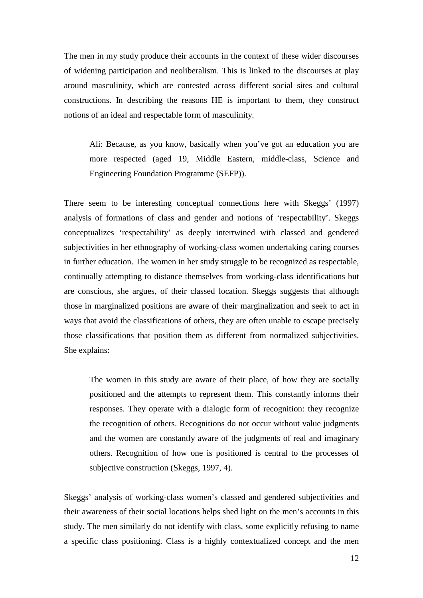The men in my study produce their accounts in the context of these wider discourses of widening participation and neoliberalism. This is linked to the discourses at play around masculinity, which are contested across different social sites and cultural constructions. In describing the reasons HE is important to them, they construct notions of an ideal and respectable form of masculinity.

Ali: Because, as you know, basically when you've got an education you are more respected (aged 19, Middle Eastern, middle-class, Science and Engineering Foundation Programme (SEFP)).

There seem to be interesting conceptual connections here with Skeggs' (1997) analysis of formations of class and gender and notions of 'respectability'. Skeggs conceptualizes 'respectability' as deeply intertwined with classed and gendered subjectivities in her ethnography of working-class women undertaking caring courses in further education. The women in her study struggle to be recognized as respectable, continually attempting to distance themselves from working-class identifications but are conscious, she argues, of their classed location. Skeggs suggests that although those in marginalized positions are aware of their marginalization and seek to act in ways that avoid the classifications of others, they are often unable to escape precisely those classifications that position them as different from normalized subjectivities. She explains:

The women in this study are aware of their place, of how they are socially positioned and the attempts to represent them. This constantly informs their responses. They operate with a dialogic form of recognition: they recognize the recognition of others. Recognitions do not occur without value judgments and the women are constantly aware of the judgments of real and imaginary others. Recognition of how one is positioned is central to the processes of subjective construction (Skeggs, 1997, 4).

Skeggs' analysis of working-class women's classed and gendered subjectivities and their awareness of their social locations helps shed light on the men's accounts in this study. The men similarly do not identify with class, some explicitly refusing to name a specific class positioning. Class is a highly contextualized concept and the men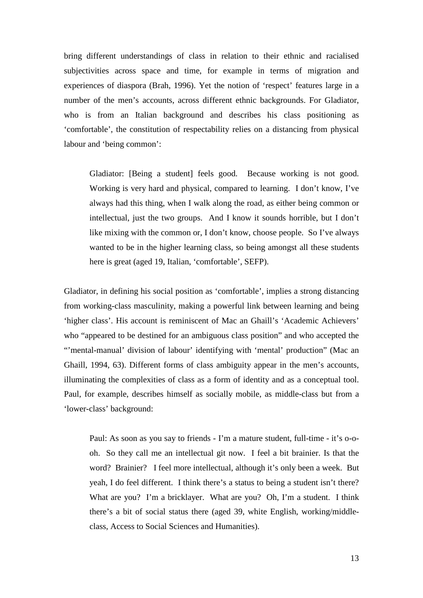bring different understandings of class in relation to their ethnic and racialised subjectivities across space and time, for example in terms of migration and experiences of diaspora (Brah, 1996). Yet the notion of 'respect' features large in a number of the men's accounts, across different ethnic backgrounds. For Gladiator, who is from an Italian background and describes his class positioning as 'comfortable', the constitution of respectability relies on a distancing from physical labour and 'being common':

Gladiator: [Being a student] feels good. Because working is not good. Working is very hard and physical, compared to learning. I don't know, I've always had this thing, when I walk along the road, as either being common or intellectual, just the two groups. And I know it sounds horrible, but I don't like mixing with the common or, I don't know, choose people. So I've always wanted to be in the higher learning class, so being amongst all these students here is great (aged 19, Italian, 'comfortable', SEFP).

Gladiator, in defining his social position as 'comfortable', implies a strong distancing from working-class masculinity, making a powerful link between learning and being 'higher class'. His account is reminiscent of Mac an Ghaill's 'Academic Achievers' who "appeared to be destined for an ambiguous class position" and who accepted the "'mental-manual' division of labour' identifying with 'mental' production" (Mac an Ghaill, 1994, 63). Different forms of class ambiguity appear in the men's accounts, illuminating the complexities of class as a form of identity and as a conceptual tool. Paul, for example, describes himself as socially mobile, as middle-class but from a 'lower-class' background:

Paul: As soon as you say to friends - I'm a mature student, full-time - it's o-ooh. So they call me an intellectual git now. I feel a bit brainier. Is that the word? Brainier? I feel more intellectual, although it's only been a week. But yeah, I do feel different. I think there's a status to being a student isn't there? What are you? I'm a bricklayer. What are you? Oh, I'm a student. I think there's a bit of social status there (aged 39, white English, working/middleclass, Access to Social Sciences and Humanities).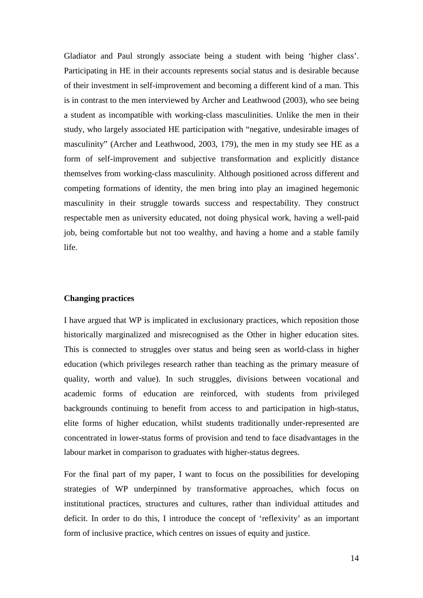Gladiator and Paul strongly associate being a student with being 'higher class'. Participating in HE in their accounts represents social status and is desirable because of their investment in self-improvement and becoming a different kind of a man. This is in contrast to the men interviewed by Archer and Leathwood (2003), who see being a student as incompatible with working-class masculinities. Unlike the men in their study, who largely associated HE participation with "negative, undesirable images of masculinity" (Archer and Leathwood, 2003, 179), the men in my study see HE as a form of self-improvement and subjective transformation and explicitly distance themselves from working-class masculinity. Although positioned across different and competing formations of identity, the men bring into play an imagined hegemonic masculinity in their struggle towards success and respectability. They construct respectable men as university educated, not doing physical work, having a well-paid job, being comfortable but not too wealthy, and having a home and a stable family life.

### **Changing practices**

I have argued that WP is implicated in exclusionary practices, which reposition those historically marginalized and misrecognised as the Other in higher education sites. This is connected to struggles over status and being seen as world-class in higher education (which privileges research rather than teaching as the primary measure of quality, worth and value). In such struggles, divisions between vocational and academic forms of education are reinforced, with students from privileged backgrounds continuing to benefit from access to and participation in high-status, elite forms of higher education, whilst students traditionally under-represented are concentrated in lower-status forms of provision and tend to face disadvantages in the labour market in comparison to graduates with higher-status degrees.

For the final part of my paper, I want to focus on the possibilities for developing strategies of WP underpinned by transformative approaches, which focus on institutional practices, structures and cultures, rather than individual attitudes and deficit. In order to do this, I introduce the concept of 'reflexivity' as an important form of inclusive practice, which centres on issues of equity and justice.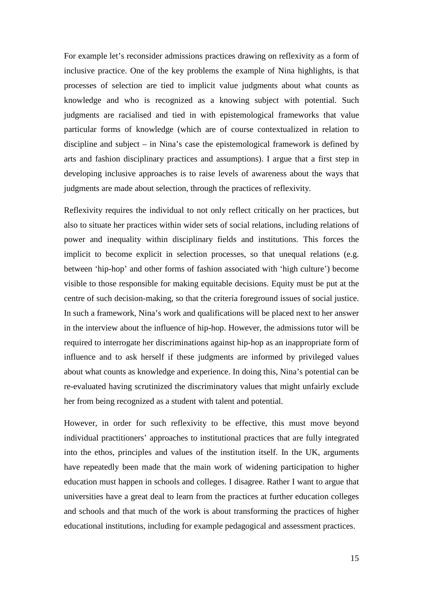For example let's reconsider admissions practices drawing on reflexivity as a form of inclusive practice. One of the key problems the example of Nina highlights, is that processes of selection are tied to implicit value judgments about what counts as knowledge and who is recognized as a knowing subject with potential. Such judgments are racialised and tied in with epistemological frameworks that value particular forms of knowledge (which are of course contextualized in relation to discipline and subject – in Nina's case the epistemological framework is defined by arts and fashion disciplinary practices and assumptions). I argue that a first step in developing inclusive approaches is to raise levels of awareness about the ways that judgments are made about selection, through the practices of reflexivity.

Reflexivity requires the individual to not only reflect critically on her practices, but also to situate her practices within wider sets of social relations, including relations of power and inequality within disciplinary fields and institutions. This forces the implicit to become explicit in selection processes, so that unequal relations (e.g. between 'hip-hop' and other forms of fashion associated with 'high culture') become visible to those responsible for making equitable decisions. Equity must be put at the centre of such decision-making, so that the criteria foreground issues of social justice. In such a framework, Nina's work and qualifications will be placed next to her answer in the interview about the influence of hip-hop. However, the admissions tutor will be required to interrogate her discriminations against hip-hop as an inappropriate form of influence and to ask herself if these judgments are informed by privileged values about what counts as knowledge and experience. In doing this, Nina's potential can be re-evaluated having scrutinized the discriminatory values that might unfairly exclude her from being recognized as a student with talent and potential.

However, in order for such reflexivity to be effective, this must move beyond individual practitioners' approaches to institutional practices that are fully integrated into the ethos, principles and values of the institution itself. In the UK, arguments have repeatedly been made that the main work of widening participation to higher education must happen in schools and colleges. I disagree. Rather I want to argue that universities have a great deal to learn from the practices at further education colleges and schools and that much of the work is about transforming the practices of higher educational institutions, including for example pedagogical and assessment practices.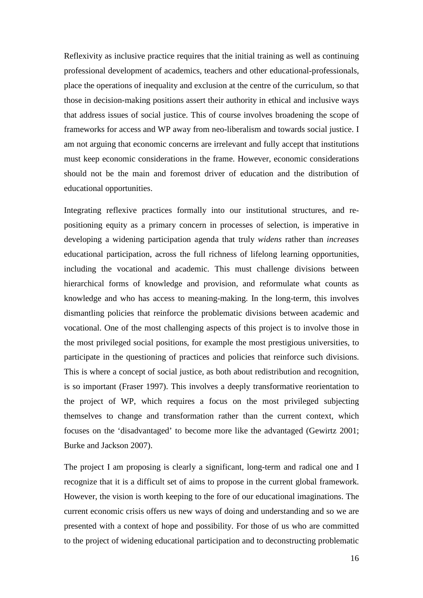Reflexivity as inclusive practice requires that the initial training as well as continuing professional development of academics, teachers and other educational-professionals, place the operations of inequality and exclusion at the centre of the curriculum, so that those in decision-making positions assert their authority in ethical and inclusive ways that address issues of social justice. This of course involves broadening the scope of frameworks for access and WP away from neo-liberalism and towards social justice. I am not arguing that economic concerns are irrelevant and fully accept that institutions must keep economic considerations in the frame. However, economic considerations should not be the main and foremost driver of education and the distribution of educational opportunities.

Integrating reflexive practices formally into our institutional structures, and repositioning equity as a primary concern in processes of selection, is imperative in developing a widening participation agenda that truly *widens* rather than *increases* educational participation, across the full richness of lifelong learning opportunities, including the vocational and academic. This must challenge divisions between hierarchical forms of knowledge and provision, and reformulate what counts as knowledge and who has access to meaning-making. In the long-term, this involves dismantling policies that reinforce the problematic divisions between academic and vocational. One of the most challenging aspects of this project is to involve those in the most privileged social positions, for example the most prestigious universities, to participate in the questioning of practices and policies that reinforce such divisions. This is where a concept of social justice, as both about redistribution and recognition, is so important (Fraser 1997). This involves a deeply transformative reorientation to the project of WP, which requires a focus on the most privileged subjecting themselves to change and transformation rather than the current context, which focuses on the 'disadvantaged' to become more like the advantaged (Gewirtz 2001; Burke and Jackson 2007).

The project I am proposing is clearly a significant, long-term and radical one and I recognize that it is a difficult set of aims to propose in the current global framework. However, the vision is worth keeping to the fore of our educational imaginations. The current economic crisis offers us new ways of doing and understanding and so we are presented with a context of hope and possibility. For those of us who are committed to the project of widening educational participation and to deconstructing problematic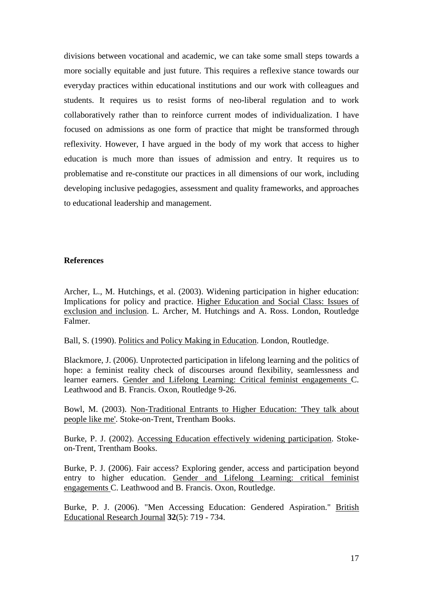divisions between vocational and academic, we can take some small steps towards a more socially equitable and just future. This requires a reflexive stance towards our everyday practices within educational institutions and our work with colleagues and students. It requires us to resist forms of neo-liberal regulation and to work collaboratively rather than to reinforce current modes of individualization. I have focused on admissions as one form of practice that might be transformed through reflexivity. However, I have argued in the body of my work that access to higher education is much more than issues of admission and entry. It requires us to problematise and re-constitute our practices in all dimensions of our work, including developing inclusive pedagogies, assessment and quality frameworks, and approaches to educational leadership and management.

## **References**

Archer, L., M. Hutchings, et al. (2003). Widening participation in higher education: Implications for policy and practice. Higher Education and Social Class: Issues of exclusion and inclusion. L. Archer, M. Hutchings and A. Ross. London, Routledge Falmer.

Ball, S. (1990). Politics and Policy Making in Education. London, Routledge.

Blackmore, J. (2006). Unprotected participation in lifelong learning and the politics of hope: a feminist reality check of discourses around flexibility, seamlessness and learner earners. Gender and Lifelong Learning: Critical feminist engagements C. Leathwood and B. Francis. Oxon, Routledge 9-26.

Bowl, M. (2003). Non-Traditional Entrants to Higher Education: 'They talk about people like me'. Stoke-on-Trent, Trentham Books.

Burke, P. J. (2002). Accessing Education effectively widening participation. Stokeon-Trent, Trentham Books.

Burke, P. J. (2006). Fair access? Exploring gender, access and participation beyond entry to higher education. Gender and Lifelong Learning: critical feminist engagements C. Leathwood and B. Francis. Oxon, Routledge.

Burke, P. J. (2006). "Men Accessing Education: Gendered Aspiration." British Educational Research Journal **32**(5): 719 - 734.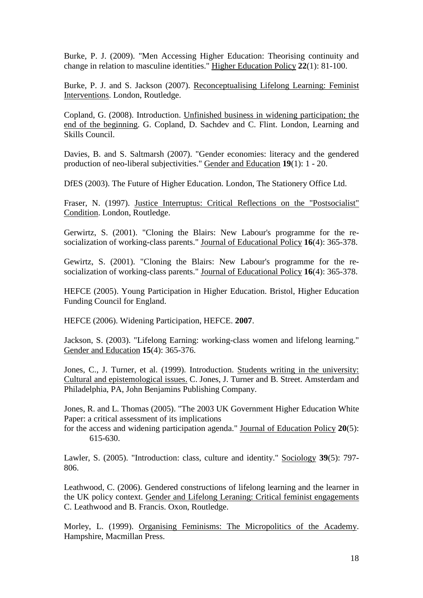Burke, P. J. (2009). "Men Accessing Higher Education: Theorising continuity and change in relation to masculine identities." Higher Education Policy **22**(1): 81-100.

Burke, P. J. and S. Jackson (2007). Reconceptualising Lifelong Learning: Feminist Interventions. London, Routledge.

Copland, G. (2008). Introduction. Unfinished business in widening participation; the end of the beginning. G. Copland, D. Sachdev and C. Flint. London, Learning and Skills Council.

Davies, B. and S. Saltmarsh (2007). "Gender economies: literacy and the gendered production of neo-liberal subjectivities." Gender and Education **19**(1): 1 - 20.

DfES (2003). The Future of Higher Education. London, The Stationery Office Ltd.

Fraser, N. (1997). Justice Interruptus: Critical Reflections on the "Postsocialist" Condition. London, Routledge.

Gerwirtz, S. (2001). "Cloning the Blairs: New Labour's programme for the resocialization of working-class parents." Journal of Educational Policy **16**(4): 365-378.

Gewirtz, S. (2001). "Cloning the Blairs: New Labour's programme for the resocialization of working-class parents." Journal of Educational Policy **16**(4): 365-378.

HEFCE (2005). Young Participation in Higher Education. Bristol, Higher Education Funding Council for England.

HEFCE (2006). Widening Participation, HEFCE. **2007**.

Jackson, S. (2003). "Lifelong Earning: working-class women and lifelong learning." Gender and Education **15**(4): 365-376.

Jones, C., J. Turner, et al. (1999). Introduction. Students writing in the university: Cultural and epistemological issues. C. Jones, J. Turner and B. Street. Amsterdam and Philadelphia, PA, John Benjamins Publishing Company.

Jones, R. and L. Thomas (2005). "The 2003 UK Government Higher Education White Paper: a critical assessment of its implications

for the access and widening participation agenda." Journal of Education Policy **20**(5): 615-630.

Lawler, S. (2005). "Introduction: class, culture and identity." Sociology **39**(5): 797- 806.

Leathwood, C. (2006). Gendered constructions of lifelong learning and the learner in the UK policy context. Gender and Lifelong Leraning: Critical feminist engagements C. Leathwood and B. Francis. Oxon, Routledge.

Morley, L. (1999). Organising Feminisms: The Micropolitics of the Academy. Hampshire, Macmillan Press.